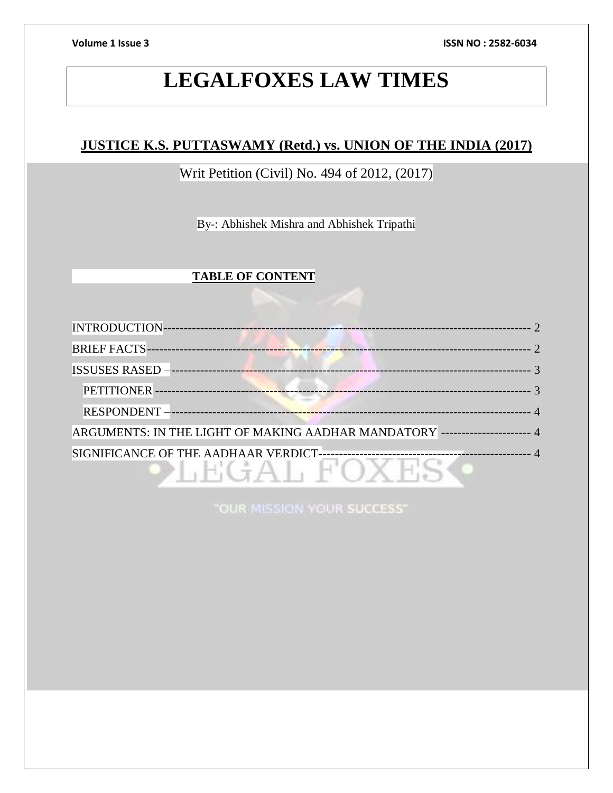**Volume 1 Issue 3 ISSN NO : 2582-6034**

# **LEGALFOXES LAW TIMES**

# **JUSTICE K.S. PUTTASWAMY (Retd.) vs. UNION OF THE INDIA (2017)**

Writ Petition (Civil) No. 494 of 2012, (2017)

By-: Abhishek Mishra and Abhishek Tripathi

# **TABLE OF CONTENT**

| <b>INTRODUCTION-</b>                                                        |  |
|-----------------------------------------------------------------------------|--|
| <b>BRIEF FACTS-</b>                                                         |  |
| <b>ISSUSES RASED -</b>                                                      |  |
| PETITIONER-                                                                 |  |
| <b>RESPONDENT-</b><br>----------------------------- <mark>----</mark>       |  |
| ARGUMENTS: IN THE LIGHT OF MAKING AADHAR MANDATORY --------------------- 4  |  |
| SIGNIFICANCE OF THE AADHAAR VERDICT-<br>----------------------------------- |  |

"OUR MISSION YOUR SUCCESS"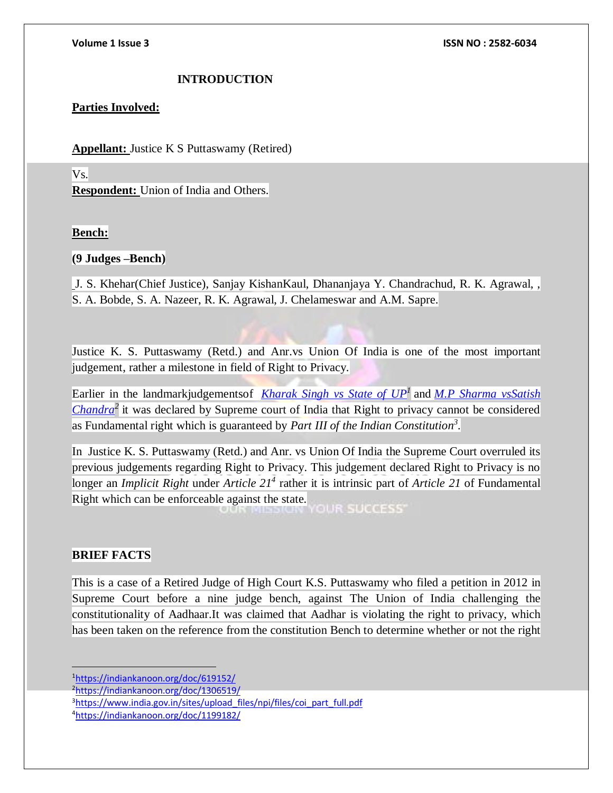# **INTRODUCTION**

# <span id="page-1-0"></span>**Parties Involved:**

**Appellant:** Justice K S Puttaswamy (Retired)

# Vs.

**Respondent:** Union of India and Others.

### **Bench:**

### **(9 Judges –Bench)**

J. S. Khehar(Chief Justice), Sanjay KishanKaul, Dhananjaya Y. Chandrachud, R. K. Agrawal, , S. A. Bobde, S. A. Nazeer, R. K. Agrawal, J. Chelameswar and A.M. Sapre.

Justice K. S. Puttaswamy (Retd.) and Anr.vs Union Of India is one of the most important judgement, rather a milestone in field of Right to Privacy.

Earlier in the landmarkjudgementsof *[Kharak Singh vs State of UP](https://indiankanoon.org/doc/619152/)<sup>1</sup>* and *[M.P Sharma vsSatish](https://indiankanoon.org/doc/1306519/)  [Chandra](https://indiankanoon.org/doc/1306519/)<sup>2</sup>* it was declared by Supreme court of India that Right to privacy cannot be considered as Fundamental right which is guaranteed by *Part III of the Indian Constitution 3 .*

In Justice K. S. Puttaswamy (Retd.) and Anr. vs Union Of India the Supreme Court overruled its previous judgements regarding Right to Privacy. This judgement declared Right to Privacy is no longer an *Implicit Right* under *Article 21<sup>4</sup>* rather it is intrinsic part of *Article 21* of Fundamental Right which can be enforceable against the state.

### <span id="page-1-1"></span>**BRIEF FACTS**

 $\overline{a}$ 

This is a case of a Retired Judge of High Court K.S. Puttaswamy who filed a petition in 2012 in Supreme Court before a nine judge bench, against The Union of India challenging the constitutionality of Aadhaar.It was claimed that Aadhar is violating the right to privacy, which has been taken on the reference from the constitution Bench to determine whether or not the right

<sup>1</sup><https://indiankanoon.org/doc/619152/>

4<https://indiankanoon.org/doc/1199182/>

<sup>2</sup><https://indiankanoon.org/doc/1306519/>

<sup>&</sup>lt;sup>3</sup>[https://www.india.gov.in/sites/upload\\_files/npi/files/coi\\_part\\_full.pdf](https://www.india.gov.in/sites/upload_files/npi/files/coi_part_full.pdf)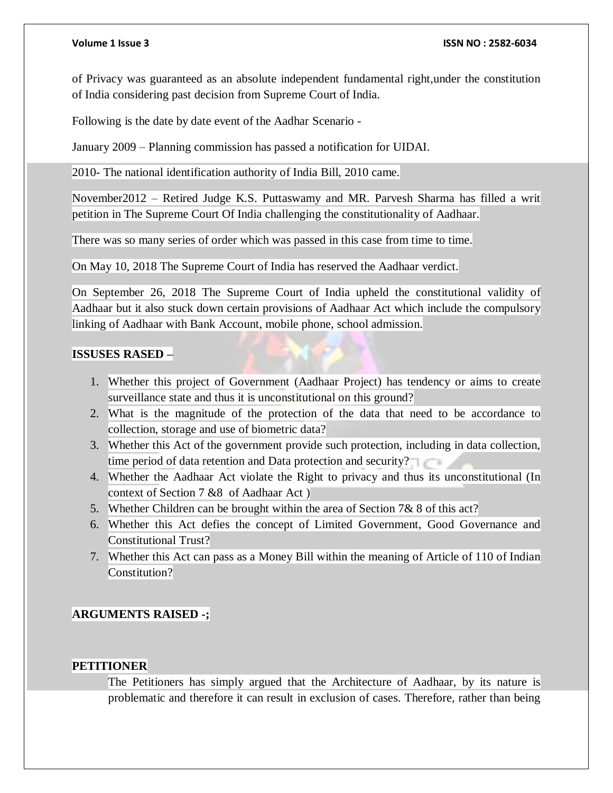### **Volume 1 Issue 3 ISSN NO : 2582-6034**

of Privacy was guaranteed as an absolute independent fundamental right,under the constitution of India considering past decision from Supreme Court of India.

Following is the date by date event of the Aadhar Scenario -

January 2009 – Planning commission has passed a notification for UIDAI.

2010- The national identification authority of India Bill, 2010 came.

November2012 – Retired Judge K.S. Puttaswamy and MR. Parvesh Sharma has filled a writ petition in The Supreme Court Of India challenging the constitutionality of Aadhaar.

There was so many series of order which was passed in this case from time to time.

On May 10, 2018 The Supreme Court of India has reserved the Aadhaar verdict.

On September 26, 2018 The Supreme Court of India upheld the constitutional validity of Aadhaar but it also stuck down certain provisions of Aadhaar Act which include the compulsory linking of Aadhaar with Bank Account, mobile phone, school admission.

### <span id="page-2-0"></span>**ISSUSES RASED –**

- 1. Whether this project of Government (Aadhaar Project) has tendency or aims to create surveillance state and thus it is unconstitutional on this ground?
- 2. What is the magnitude of the protection of the data that need to be accordance to collection, storage and use of biometric data?
- 3. Whether this Act of the government provide such protection, including in data collection, time period of data retention and Data protection and security?
- 4. Whether the Aadhaar Act violate the Right to privacy and thus its unconstitutional (In context of Section 7 &8 of Aadhaar Act )
- 5. Whether Children can be brought within the area of Section 7& 8 of this act?
- 6. Whether this Act defies the concept of Limited Government, Good Governance and Constitutional Trust?
- 7. Whether this Act can pass as a Money Bill within the meaning of Article of 110 of Indian Constitution?

# **ARGUMENTS RAISED -;**

# <span id="page-2-1"></span>**PETITIONER**

The Petitioners has simply argued that the Architecture of Aadhaar, by its nature is problematic and therefore it can result in exclusion of cases. Therefore, rather than being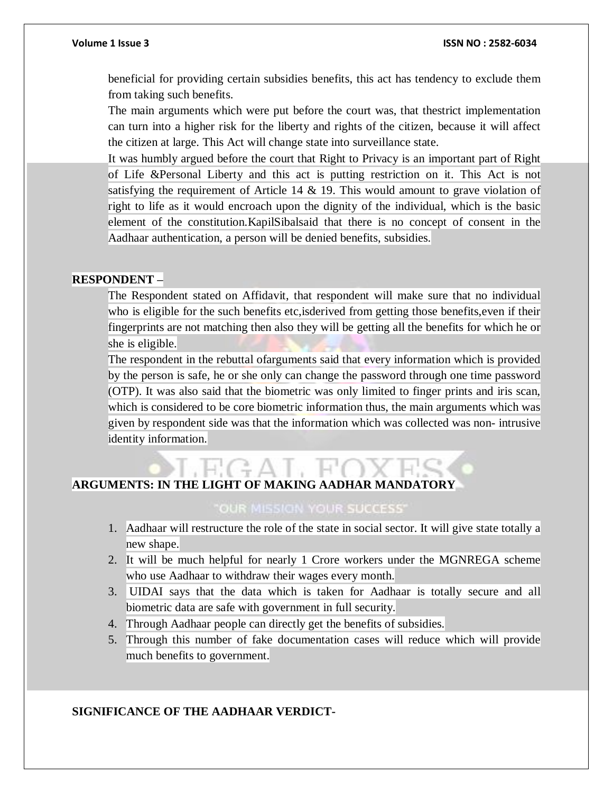beneficial for providing certain subsidies benefits, this act has tendency to exclude them from taking such benefits.

The main arguments which were put before the court was, that thestrict implementation can turn into a higher risk for the liberty and rights of the citizen, because it will affect the citizen at large. This Act will change state into surveillance state.

It was humbly argued before the court that Right to Privacy is an important part of Right of Life &Personal Liberty and this act is putting restriction on it. This Act is not satisfying the requirement of Article 14  $\&$  19. This would amount to grave violation of right to life as it would encroach upon the dignity of the individual, which is the basic element of the constitution.KapilSibalsaid that there is no concept of consent in the Aadhaar authentication, a person will be denied benefits, subsidies.

### <span id="page-3-0"></span>**RESPONDENT –**

The Respondent stated on Affidavit, that respondent will make sure that no individual who is eligible for the such benefits etc,isderived from getting those benefits,even if their fingerprints are not matching then also they will be getting all the benefits for which he or she is eligible.

The respondent in the rebuttal ofarguments said that every information which is provided by the person is safe, he or she only can change the password through one time password (OTP). It was also said that the biometric was only limited to finger prints and iris scan, which is considered to be core biometric information thus, the main arguments which was given by respondent side was that the information which was collected was non- intrusive identity information.

# <span id="page-3-1"></span>**ARGUMENTS: IN THE LIGHT OF MAKING AADHAR MANDATORY**

# "OUR MISSION YOUR SUCCESS"

- 1. Aadhaar will restructure the role of the state in social sector. It will give state totally a new shape.
- 2. It will be much helpful for nearly 1 Crore workers under the MGNREGA scheme who use Aadhaar to withdraw their wages every month.
- 3. UIDAI says that the data which is taken for Aadhaar is totally secure and all biometric data are safe with government in full security.
- 4. Through Aadhaar people can directly get the benefits of subsidies.
- 5. Through this number of fake documentation cases will reduce which will provide much benefits to government.

# <span id="page-3-2"></span>**SIGNIFICANCE OF THE AADHAAR VERDICT-**